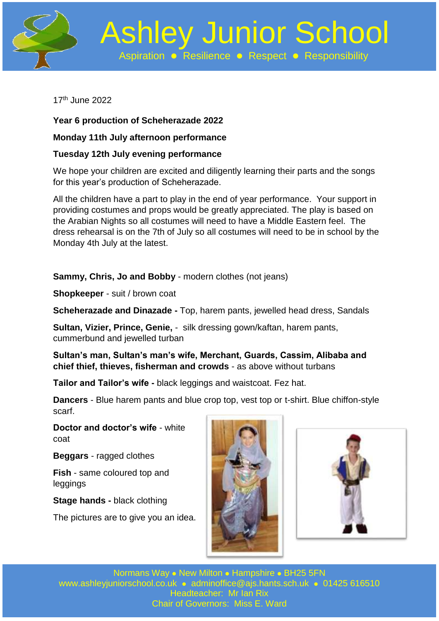

 Ashley Junior School Aspiration **• Resilience • Respect • Responsibility** 

17 th June 2022

**Year 6 production of Scheherazade 2022**

## **Monday 11th July afternoon performance**

## **Tuesday 12th July evening performance**

We hope your children are excited and diligently learning their parts and the songs for this year's production of Scheherazade.

All the children have a part to play in the end of year performance. Your support in providing costumes and props would be greatly appreciated. The play is based on the Arabian Nights so all costumes will need to have a Middle Eastern feel. The dress rehearsal is on the 7th of July so all costumes will need to be in school by the Monday 4th July at the latest.

**Sammy, Chris, Jo and Bobby** - modern clothes (not jeans)

**Shopkeeper** - suit / brown coat

**Scheherazade and Dinazade -** Top, harem pants, jewelled head dress, Sandals

**Sultan, Vizier, Prince, Genie,** - silk dressing gown/kaftan, harem pants, cummerbund and jewelled turban

**Sultan's man, Sultan's man's wife, Merchant, Guards, Cassim, Alibaba and chief thief, thieves, fisherman and crowds** - as above without turbans

**Tailor and Tailor's wife -** black leggings and waistcoat. Fez hat.

**Dancers** - Blue harem pants and blue crop top, vest top or t-shirt. Blue chiffon-style scarf.

**Doctor and doctor's wife** - white coat

**Beggars** - ragged clothes

**Fish** - same coloured top and leggings

**Stage hands -** black clothing

The pictures are to give you an idea.





Normans Way . New Milton . Hampshire . BH25 5FN [www.ashleyjuniorschool.co.uk](http://www.ashleyjuniorschool.co.uk/) · [adminoffice@ajs.hants.sch.uk](mailto:adminoffice@ajs.hants.sch.uk) · 01425 616510 Headteacher: Mr Ian Rix Chair of Governors: Miss E. Ward